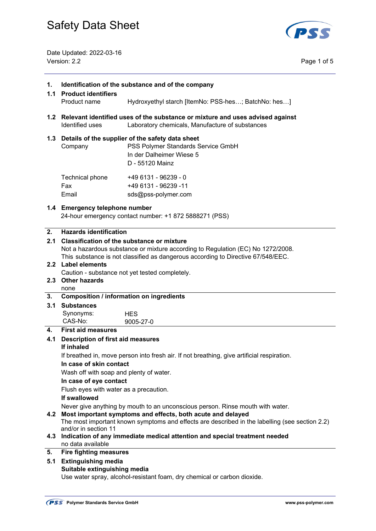

Date Updated: 2022-03-16 Version: 2.2 Page 1 of 5

| 1.<br>1.1      | Identification of the substance and of the company<br><b>Product identifiers</b>                                                                                                                                                                   |                                                                                                                                           |  |
|----------------|----------------------------------------------------------------------------------------------------------------------------------------------------------------------------------------------------------------------------------------------------|-------------------------------------------------------------------------------------------------------------------------------------------|--|
|                | Product name                                                                                                                                                                                                                                       | Hydroxyethyl starch [ItemNo: PSS-hes; BatchNo: hes]                                                                                       |  |
|                | Identified uses                                                                                                                                                                                                                                    | 1.2 Relevant identified uses of the substance or mixture and uses advised against<br>Laboratory chemicals, Manufacture of substances      |  |
|                | Company                                                                                                                                                                                                                                            | 1.3 Details of the supplier of the safety data sheet<br>PSS Polymer Standards Service GmbH<br>In der Dalheimer Wiese 5<br>D - 55120 Mainz |  |
|                | Technical phone<br>Fax<br>Email                                                                                                                                                                                                                    | +49 6131 - 96239 - 0<br>+49 6131 - 96239 -11<br>sds@pss-polymer.com                                                                       |  |
|                | 1.4 Emergency telephone number                                                                                                                                                                                                                     | 24-hour emergency contact number: +1 872 5888271 (PSS)                                                                                    |  |
| 2.<br>2.1      | <b>Hazards identification</b><br>Classification of the substance or mixture<br>Not a hazardous substance or mixture according to Regulation (EC) No 1272/2008.<br>This substance is not classified as dangerous according to Directive 67/548/EEC. |                                                                                                                                           |  |
|                | 2.2 Label elements                                                                                                                                                                                                                                 | Caution - substance not yet tested completely.                                                                                            |  |
|                | 2.3 Other hazards                                                                                                                                                                                                                                  |                                                                                                                                           |  |
| 3.             | none                                                                                                                                                                                                                                               | <b>Composition / information on ingredients</b>                                                                                           |  |
| 3.1            | <b>Substances</b>                                                                                                                                                                                                                                  |                                                                                                                                           |  |
|                | Synonyms:                                                                                                                                                                                                                                          | <b>HES</b>                                                                                                                                |  |
|                | CAS-No:                                                                                                                                                                                                                                            | 9005-27-0                                                                                                                                 |  |
| $\mathbf{4}$ . | <b>First aid measures</b>                                                                                                                                                                                                                          |                                                                                                                                           |  |
| 4.1            | Description of first aid measures<br>If inhaled                                                                                                                                                                                                    |                                                                                                                                           |  |
|                |                                                                                                                                                                                                                                                    | If breathed in, move person into fresh air. If not breathing, give artificial respiration.                                                |  |
|                | In case of skin contact                                                                                                                                                                                                                            |                                                                                                                                           |  |
|                | Wash off with soap and plenty of water.                                                                                                                                                                                                            |                                                                                                                                           |  |
|                | In case of eye contact                                                                                                                                                                                                                             |                                                                                                                                           |  |
|                | Flush eyes with water as a precaution.                                                                                                                                                                                                             |                                                                                                                                           |  |
|                | If swallowed                                                                                                                                                                                                                                       |                                                                                                                                           |  |
|                | Never give anything by mouth to an unconscious person. Rinse mouth with water.<br>4.2 Most important symptoms and effects, both acute and delayed                                                                                                  |                                                                                                                                           |  |
|                |                                                                                                                                                                                                                                                    | The most important known symptoms and effects are described in the labelling (see section 2.2)                                            |  |
|                | and/or in section 11                                                                                                                                                                                                                               |                                                                                                                                           |  |
|                | no data available                                                                                                                                                                                                                                  | 4.3 Indication of any immediate medical attention and special treatment needed                                                            |  |
| 5.             | <b>Fire fighting measures</b>                                                                                                                                                                                                                      |                                                                                                                                           |  |
| 5.1            | <b>Extinguishing media</b>                                                                                                                                                                                                                         |                                                                                                                                           |  |
|                | Suitable extinguishing media                                                                                                                                                                                                                       |                                                                                                                                           |  |
|                |                                                                                                                                                                                                                                                    | Use water spray, alcohol-resistant foam, dry chemical or carbon dioxide.                                                                  |  |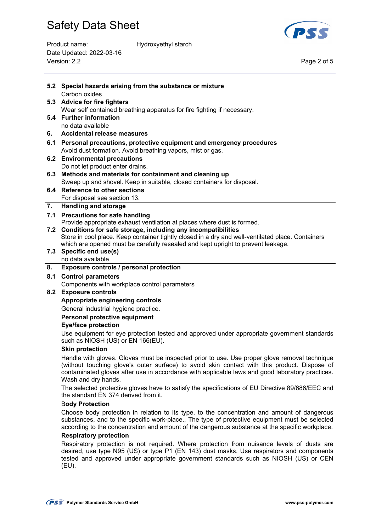

Product name: Hydroxyethyl starch Date Updated: 2022-03-16 Version: 2.2 Page 2 of 5

|                        | 5.2 Special hazards arising from the substance or mixture                                                                                                                                                                                                                                                               |  |  |
|------------------------|-------------------------------------------------------------------------------------------------------------------------------------------------------------------------------------------------------------------------------------------------------------------------------------------------------------------------|--|--|
|                        | Carbon oxides<br>5.3 Advice for fire fighters                                                                                                                                                                                                                                                                           |  |  |
|                        | Wear self contained breathing apparatus for fire fighting if necessary.                                                                                                                                                                                                                                                 |  |  |
|                        | 5.4 Further information                                                                                                                                                                                                                                                                                                 |  |  |
|                        | no data available                                                                                                                                                                                                                                                                                                       |  |  |
| 6.                     | <b>Accidental release measures</b>                                                                                                                                                                                                                                                                                      |  |  |
| 6.1                    | Personal precautions, protective equipment and emergency procedures                                                                                                                                                                                                                                                     |  |  |
|                        | Avoid dust formation. Avoid breathing vapors, mist or gas.                                                                                                                                                                                                                                                              |  |  |
| 6.2                    | <b>Environmental precautions</b>                                                                                                                                                                                                                                                                                        |  |  |
|                        | Do not let product enter drains.                                                                                                                                                                                                                                                                                        |  |  |
| 6.3                    | Methods and materials for containment and cleaning up                                                                                                                                                                                                                                                                   |  |  |
| 6.4                    | Sweep up and shovel. Keep in suitable, closed containers for disposal.<br><b>Reference to other sections</b>                                                                                                                                                                                                            |  |  |
|                        | For disposal see section 13.                                                                                                                                                                                                                                                                                            |  |  |
| 7.                     | <b>Handling and storage</b>                                                                                                                                                                                                                                                                                             |  |  |
| 7.1                    | <b>Precautions for safe handling</b>                                                                                                                                                                                                                                                                                    |  |  |
|                        | Provide appropriate exhaust ventilation at places where dust is formed.                                                                                                                                                                                                                                                 |  |  |
| 7.2                    | Conditions for safe storage, including any incompatibilities                                                                                                                                                                                                                                                            |  |  |
|                        | Store in cool place. Keep container tightly closed in a dry and well-ventilated place. Containers                                                                                                                                                                                                                       |  |  |
|                        | which are opened must be carefully resealed and kept upright to prevent leakage.<br>7.3 Specific end use(s)                                                                                                                                                                                                             |  |  |
|                        | no data available                                                                                                                                                                                                                                                                                                       |  |  |
| 8.                     | Exposure controls / personal protection                                                                                                                                                                                                                                                                                 |  |  |
| 8.1                    | <b>Control parameters</b>                                                                                                                                                                                                                                                                                               |  |  |
|                        | Components with workplace control parameters                                                                                                                                                                                                                                                                            |  |  |
| 8.2                    | <b>Exposure controls</b>                                                                                                                                                                                                                                                                                                |  |  |
|                        | Appropriate engineering controls                                                                                                                                                                                                                                                                                        |  |  |
|                        | General industrial hygiene practice.                                                                                                                                                                                                                                                                                    |  |  |
|                        | Personal protective equipment                                                                                                                                                                                                                                                                                           |  |  |
|                        | <b>Eye/face protection</b>                                                                                                                                                                                                                                                                                              |  |  |
|                        | Use equipment for eye protection tested and approved under appropriate government standards<br>such as NIOSH (US) or EN 166(EU).                                                                                                                                                                                        |  |  |
|                        | <b>Skin protection</b>                                                                                                                                                                                                                                                                                                  |  |  |
|                        | Handle with gloves. Gloves must be inspected prior to use. Use proper glove removal technique<br>(without touching glove's outer surface) to avoid skin contact with this product. Dispose of<br>contaminated gloves after use in accordance with applicable laws and good laboratory practices.<br>Wash and dry hands. |  |  |
|                        | The selected protective gloves have to satisfy the specifications of EU Directive 89/686/EEC and<br>the standard EN 374 derived from it.                                                                                                                                                                                |  |  |
| <b>Body Protection</b> |                                                                                                                                                                                                                                                                                                                         |  |  |
|                        | Choose body protection in relation to its type, to the concentration and amount of dangerous<br>substances, and to the specific work-place., The type of protective equipment must be selected<br>according to the concentration and amount of the dangerous substance at the specific workplace.                       |  |  |
|                        | <b>Respiratory protection</b>                                                                                                                                                                                                                                                                                           |  |  |
|                        | Respiratory protection is not required. Where protection from nuisance levels of dusts are<br>desired, use type N95 (US) or type P1 (EN 143) dust masks. Use respirators and components<br>tested and approved under appropriate government standards such as NIOSH (US) or CEN<br>(EU).                                |  |  |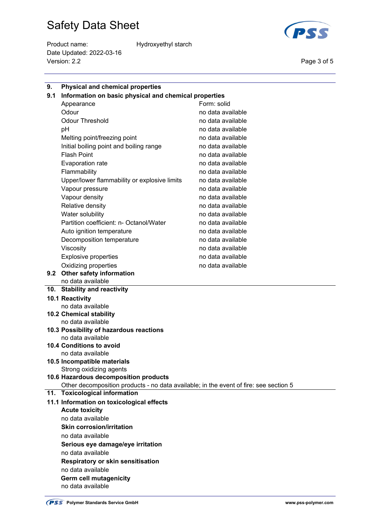Product name: Hydroxyethyl starch Date Updated: 2022-03-16 Version: 2.2 Page 3 of 5



| 9.  | <b>Physical and chemical properties</b>                                               |                   |  |  |  |
|-----|---------------------------------------------------------------------------------------|-------------------|--|--|--|
| 9.1 | Information on basic physical and chemical properties                                 |                   |  |  |  |
|     | Appearance                                                                            | Form: solid       |  |  |  |
|     | Odour                                                                                 | no data available |  |  |  |
|     | <b>Odour Threshold</b>                                                                | no data available |  |  |  |
|     | рH                                                                                    | no data available |  |  |  |
|     | Melting point/freezing point                                                          | no data available |  |  |  |
|     | Initial boiling point and boiling range                                               | no data available |  |  |  |
|     | <b>Flash Point</b>                                                                    | no data available |  |  |  |
|     | Evaporation rate                                                                      | no data available |  |  |  |
|     | Flammability                                                                          | no data available |  |  |  |
|     | Upper/lower flammability or explosive limits                                          | no data available |  |  |  |
|     | Vapour pressure                                                                       | no data available |  |  |  |
|     | Vapour density                                                                        | no data available |  |  |  |
|     | Relative density                                                                      | no data available |  |  |  |
|     | Water solubility                                                                      | no data available |  |  |  |
|     | Partition coefficient: n- Octanol/Water                                               | no data available |  |  |  |
|     | Auto ignition temperature                                                             | no data available |  |  |  |
|     | Decomposition temperature                                                             | no data available |  |  |  |
|     | Viscosity                                                                             | no data available |  |  |  |
|     | <b>Explosive properties</b>                                                           | no data available |  |  |  |
|     | Oxidizing properties                                                                  | no data available |  |  |  |
|     | 9.2 Other safety information                                                          |                   |  |  |  |
|     | no data available                                                                     |                   |  |  |  |
|     | 10. Stability and reactivity                                                          |                   |  |  |  |
|     | 10.1 Reactivity                                                                       |                   |  |  |  |
|     | no data available                                                                     |                   |  |  |  |
|     | 10.2 Chemical stability                                                               |                   |  |  |  |
|     | no data available                                                                     |                   |  |  |  |
|     | 10.3 Possibility of hazardous reactions                                               |                   |  |  |  |
|     | no data available                                                                     |                   |  |  |  |
|     | <b>10.4 Conditions to avoid</b><br>no data available                                  |                   |  |  |  |
|     | 10.5 Incompatible materials                                                           |                   |  |  |  |
|     | Strong oxidizing agents                                                               |                   |  |  |  |
|     | 10.6 Hazardous decomposition products                                                 |                   |  |  |  |
|     | Other decomposition products - no data available; in the event of fire: see section 5 |                   |  |  |  |
|     | 11. Toxicological information                                                         |                   |  |  |  |
|     | 11.1 Information on toxicological effects                                             |                   |  |  |  |
|     | <b>Acute toxicity</b>                                                                 |                   |  |  |  |
|     | no data available                                                                     |                   |  |  |  |
|     | <b>Skin corrosion/irritation</b>                                                      |                   |  |  |  |
|     | no data available                                                                     |                   |  |  |  |
|     | Serious eye damage/eye irritation                                                     |                   |  |  |  |
|     | no data available                                                                     |                   |  |  |  |
|     | <b>Respiratory or skin sensitisation</b>                                              |                   |  |  |  |
|     | no data available                                                                     |                   |  |  |  |
|     | Germ cell mutagenicity                                                                |                   |  |  |  |
|     | no data available                                                                     |                   |  |  |  |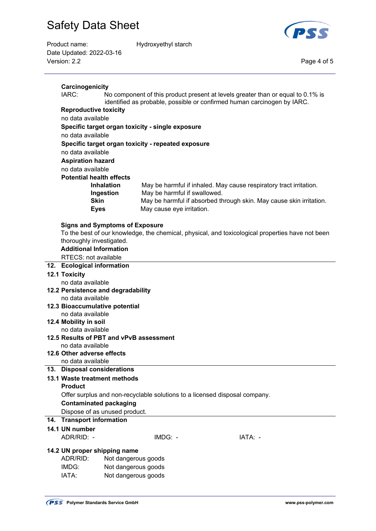

| Product name:            | Hydroxyethyl starch |             |
|--------------------------|---------------------|-------------|
| Date Updated: 2022-03-16 |                     |             |
| Version: 2.2             |                     | Page 4 of 5 |
|                          |                     |             |

|     | Carcinogenicity                                                                                                                                                     |                                         |                                                    |                                                                                                  |  |
|-----|---------------------------------------------------------------------------------------------------------------------------------------------------------------------|-----------------------------------------|----------------------------------------------------|--------------------------------------------------------------------------------------------------|--|
|     | IARC:<br>No component of this product present at levels greater than or equal to 0.1% is<br>identified as probable, possible or confirmed human carcinogen by IARC. |                                         |                                                    |                                                                                                  |  |
|     | <b>Reproductive toxicity</b>                                                                                                                                        |                                         |                                                    |                                                                                                  |  |
|     | no data available                                                                                                                                                   |                                         |                                                    |                                                                                                  |  |
|     |                                                                                                                                                                     |                                         | Specific target organ toxicity - single exposure   |                                                                                                  |  |
|     | no data available                                                                                                                                                   |                                         |                                                    |                                                                                                  |  |
|     |                                                                                                                                                                     |                                         | Specific target organ toxicity - repeated exposure |                                                                                                  |  |
|     | no data available                                                                                                                                                   |                                         |                                                    |                                                                                                  |  |
|     | <b>Aspiration hazard</b>                                                                                                                                            |                                         |                                                    |                                                                                                  |  |
|     | no data available                                                                                                                                                   |                                         |                                                    |                                                                                                  |  |
|     | <b>Potential health effects</b>                                                                                                                                     |                                         |                                                    |                                                                                                  |  |
|     |                                                                                                                                                                     | <b>Inhalation</b>                       |                                                    | May be harmful if inhaled. May cause respiratory tract irritation.                               |  |
|     |                                                                                                                                                                     | Ingestion                               | May be harmful if swallowed.                       |                                                                                                  |  |
|     | <b>Skin</b>                                                                                                                                                         |                                         |                                                    | May be harmful if absorbed through skin. May cause skin irritation.                              |  |
|     | <b>Eyes</b>                                                                                                                                                         |                                         | May cause eye irritation.                          |                                                                                                  |  |
|     |                                                                                                                                                                     |                                         |                                                    |                                                                                                  |  |
|     |                                                                                                                                                                     | <b>Signs and Symptoms of Exposure</b>   |                                                    |                                                                                                  |  |
|     |                                                                                                                                                                     |                                         |                                                    | To the best of our knowledge, the chemical, physical, and toxicological properties have not been |  |
|     | thoroughly investigated.                                                                                                                                            |                                         |                                                    |                                                                                                  |  |
|     | <b>Additional Information</b>                                                                                                                                       |                                         |                                                    |                                                                                                  |  |
|     | RTECS: not available                                                                                                                                                |                                         |                                                    |                                                                                                  |  |
|     | 12. Ecological information                                                                                                                                          |                                         |                                                    |                                                                                                  |  |
|     | 12.1 Toxicity                                                                                                                                                       |                                         |                                                    |                                                                                                  |  |
|     | no data available                                                                                                                                                   |                                         |                                                    |                                                                                                  |  |
|     | 12.2 Persistence and degradability                                                                                                                                  |                                         |                                                    |                                                                                                  |  |
|     | no data available                                                                                                                                                   |                                         |                                                    |                                                                                                  |  |
|     | 12.3 Bioaccumulative potential                                                                                                                                      |                                         |                                                    |                                                                                                  |  |
|     | no data available                                                                                                                                                   |                                         |                                                    |                                                                                                  |  |
|     | 12.4 Mobility in soil                                                                                                                                               |                                         |                                                    |                                                                                                  |  |
|     | no data available                                                                                                                                                   |                                         |                                                    |                                                                                                  |  |
|     |                                                                                                                                                                     | 12.5 Results of PBT and vPvB assessment |                                                    |                                                                                                  |  |
|     | no data available                                                                                                                                                   |                                         |                                                    |                                                                                                  |  |
|     | 12.6 Other adverse effects                                                                                                                                          |                                         |                                                    |                                                                                                  |  |
|     | no data available                                                                                                                                                   |                                         |                                                    |                                                                                                  |  |
| 13. | <b>Disposal considerations</b>                                                                                                                                      |                                         |                                                    |                                                                                                  |  |
|     | 13.1 Waste treatment methods                                                                                                                                        |                                         |                                                    |                                                                                                  |  |
|     | <b>Product</b>                                                                                                                                                      |                                         |                                                    |                                                                                                  |  |
|     |                                                                                                                                                                     |                                         |                                                    | Offer surplus and non-recyclable solutions to a licensed disposal company.                       |  |
|     | <b>Contaminated packaging</b>                                                                                                                                       |                                         |                                                    |                                                                                                  |  |
|     |                                                                                                                                                                     | Dispose of as unused product.           |                                                    |                                                                                                  |  |
| 14. | <b>Transport information</b>                                                                                                                                        |                                         |                                                    |                                                                                                  |  |
|     | 14.1 UN number                                                                                                                                                      |                                         |                                                    |                                                                                                  |  |
|     | ADR/RID: -                                                                                                                                                          |                                         | IMDG: -                                            | IATA: -                                                                                          |  |
|     |                                                                                                                                                                     |                                         |                                                    |                                                                                                  |  |
|     | 14.2 UN proper shipping name                                                                                                                                        |                                         |                                                    |                                                                                                  |  |
|     | ADR/RID:                                                                                                                                                            | Not dangerous goods                     |                                                    |                                                                                                  |  |
|     | IMDG:                                                                                                                                                               | Not dangerous goods                     |                                                    |                                                                                                  |  |
|     | IATA:                                                                                                                                                               | Not dangerous goods                     |                                                    |                                                                                                  |  |